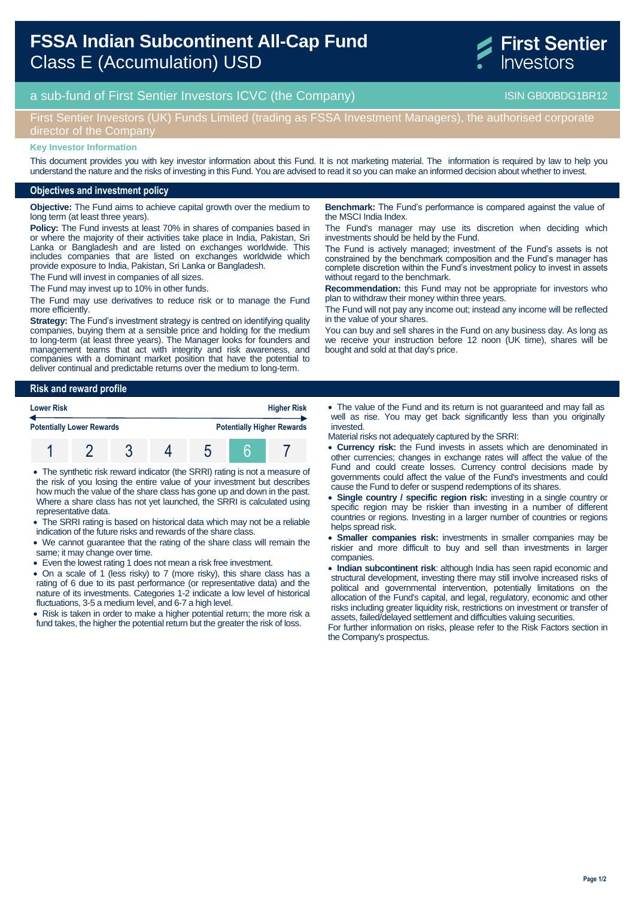# **FSSA Indian Subcontinent All-Cap Fund**  Class E (Accumulation) USD



## a sub-fund of First Sentier Investors ICVC (the Company) and the Company ISIN GB00BDG1BR12

## First Sentier Investors (UK) Funds Limited (trading as FSSA Investment Managers), the authorised corporate director of the Company

#### **Key Investor Information**

This document provides you with key investor information about this Fund. It is not marketing material. The information is required by law to help you understand the nature and the risks of investing in this Fund. You are advised to read it so you can make an informed decision about whether to invest.

#### **Objectives and investment policy**

**Objective:** The Fund aims to achieve capital growth over the medium to long term (at least three years).

**Policy:** The Fund invests at least 70% in shares of companies based in or where the majority of their activities take place in India, Pakistan, Sri Lanka or Bangladesh and are listed on exchanges worldwide. This includes companies that are listed on exchanges worldwide which provide exposure to India, Pakistan, Sri Lanka or Bangladesh.

The Fund will invest in companies of all sizes.

The Fund may invest up to 10% in other funds.

The Fund may use derivatives to reduce risk or to manage the Fund more efficiently.

**Strategy:** The Fund's investment strategy is centred on identifying quality companies, buying them at a sensible price and holding for the medium to long-term (at least three years). The Manager looks for founders and management teams that act with integrity and risk awareness, and companies with a dominant market position that have the potential to deliver continual and predictable returns over the medium to long-term.

**Risk and reward profile**

| <b>Lower Risk</b> |                                  |  |  | <b>Higher Risk</b> |  |                                   |
|-------------------|----------------------------------|--|--|--------------------|--|-----------------------------------|
|                   | <b>Potentially Lower Rewards</b> |  |  |                    |  | <b>Potentially Higher Rewards</b> |
|                   |                                  |  |  |                    |  |                                   |

 The synthetic risk reward indicator (the SRRI) rating is not a measure of the risk of you losing the entire value of your investment but describes how much the value of the share class has gone up and down in the past. Where a share class has not yet launched, the SRRI is calculated using representative data.

• The SRRI rating is based on historical data which may not be a reliable indication of the future risks and rewards of the share class.

 We cannot guarantee that the rating of the share class will remain the same; it may change over time.

Even the lowest rating 1 does not mean a risk free investment.

 On a scale of 1 (less risky) to 7 (more risky), this share class has a rating of 6 due to its past performance (or representative data) and the nature of its investments. Categories 1-2 indicate a low level of historical fluctuations, 3-5 a medium level, and 6-7 a high level.

• Risk is taken in order to make a higher potential return; the more risk a fund takes, the higher the potential return but the greater the risk of loss.

**Benchmark:** The Fund's performance is compared against the value of the MSCI India Index.

The Fund's manager may use its discretion when deciding which investments should be held by the Fund.

The Fund is actively managed; investment of the Fund's assets is not constrained by the benchmark composition and the Fund's manager has complete discretion within the Fund's investment policy to invest in assets without regard to the benchmark.

**Recommendation:** this Fund may not be appropriate for investors who plan to withdraw their money within three years.

The Fund will not pay any income out; instead any income will be reflected in the value of your shares.

You can buy and sell shares in the Fund on any business day. As long as we receive your instruction before 12 noon (UK time), shares will be bought and sold at that day's price.

 The value of the Fund and its return is not guaranteed and may fall as well as rise. You may get back significantly less than you originally invested.

Material risks not adequately captured by the SRRI:

- **Currency risk:** the Fund invests in assets which are denominated in other currencies; changes in exchange rates will affect the value of the Fund and could create losses. Currency control decisions made by governments could affect the value of the Fund's investments and could cause the Fund to defer or suspend redemptions of its shares.
- **Single country / specific region risk:** investing in a single country or specific region may be riskier than investing in a number of different countries or regions. Investing in a larger number of countries or regions helps spread risk.

 **Smaller companies risk:** investments in smaller companies may be riskier and more difficult to buy and sell than investments in larger companies.

 **Indian subcontinent risk**: although India has seen rapid economic and structural development, investing there may still involve increased risks of political and governmental intervention, potentially limitations on the allocation of the Fund's capital, and legal, regulatory, economic and other risks including greater liquidity risk, restrictions on investment or transfer of assets, failed/delayed settlement and difficulties valuing securities.

For further information on risks, please refer to the Risk Factors section in the Company's prospectus.